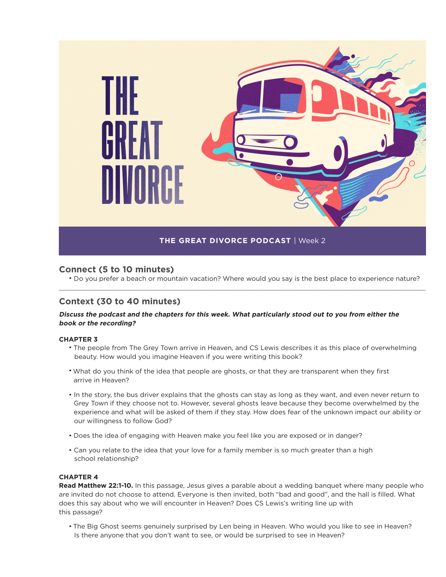

## **Connect (5 to 10 minutes)**

• Do you prefer a beach or mountain vacation? Where would you say is the best place to experience nature? \_\_\_\_\_\_\_\_\_\_\_\_\_\_\_\_\_\_\_\_\_\_\_\_\_\_\_\_\_\_\_\_\_\_\_\_\_\_\_\_\_\_\_\_\_\_\_\_\_\_\_\_\_\_\_\_\_\_\_\_\_\_\_\_\_\_\_\_\_\_\_\_\_\_\_\_\_\_\_\_\_\_\_\_\_\_\_\_\_\_\_\_\_\_\_\_\_\_\_\_\_\_\_\_\_\_\_\_\_\_\_\_\_\_\_\_\_\_\_\_\_\_\_\_\_\_\_\_\_\_\_\_\_\_\_\_\_\_\_\_\_\_\_\_\_\_\_\_\_\_\_\_\_\_\_\_\_\_\_\_\_\_\_\_\_\_\_\_

## **Context (30 to 40 minutes)**

### **Discuss the podcast and the chapters for this week. What particularly stood out to you from either the book or the recording?**

#### **CHAPTER 3**

- The people from The Grey Town arrive in Heaven, and CS Lewis describes it as this place of overwhelming beauty. How would you imagine Heaven if you were writing this book?
- What do you think of the idea that people are ghosts, or that they are transparent when they first arrive in Heaven?
- In the story, the bus driver explains that the ghosts can stay as long as they want, and even never return to Grey Town if they choose not to. However, several ghosts leave because they become overwhelmed by the experience and what will be asked of them if they stay. How does fear of the unknown impact our ability or our willingness to follow God?
- Does the idea of engaging with Heaven make you feel like you are exposed or in danger?
- Can you relate to the idea that your love for a family member is so much greater than a high school relationship?

#### **CHAPTER 4**

**Read Matthew 22:1-10.** In this passage, Jesus gives a parable about a wedding banquet where many people who are invited do not choose to attend. Everyone is then invited, both "bad and good", and the hall is filled. What does this say about who we will encounter in Heaven? Does CS Lewis's writing line up with this passage?

• The Big Ghost seems genuinely surprised by Len being in Heaven. Who would you like to see in Heaven? Is there anyone that you don't want to see, or would be surprised to see in Heaven?